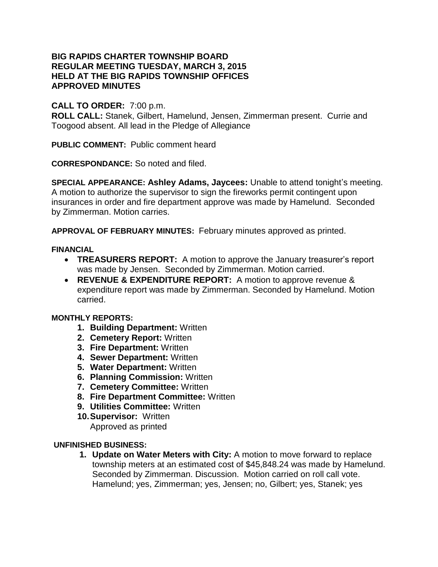## **BIG RAPIDS CHARTER TOWNSHIP BOARD REGULAR MEETING TUESDAY, MARCH 3, 2015 HELD AT THE BIG RAPIDS TOWNSHIP OFFICES APPROVED MINUTES**

# **CALL TO ORDER:** 7:00 p.m.

**ROLL CALL:** Stanek, Gilbert, Hamelund, Jensen, Zimmerman present. Currie and Toogood absent. All lead in the Pledge of Allegiance

**PUBLIC COMMENT:** Public comment heard

**CORRESPONDANCE:** So noted and filed.

**SPECIAL APPEARANCE: Ashley Adams, Jaycees:** Unable to attend tonight's meeting. A motion to authorize the supervisor to sign the fireworks permit contingent upon insurances in order and fire department approve was made by Hamelund. Seconded by Zimmerman. Motion carries.

**APPROVAL OF FEBRUARY MINUTES:** February minutes approved as printed.

### **FINANCIAL**

- **TREASURERS REPORT:** A motion to approve the January treasurer's report was made by Jensen. Seconded by Zimmerman. Motion carried.
- **REVENUE & EXPENDITURE REPORT:** A motion to approve revenue & expenditure report was made by Zimmerman. Seconded by Hamelund. Motion carried.

## **MONTHLY REPORTS:**

- **1. Building Department:** Written
- **2. Cemetery Report:** Written
- **3. Fire Department:** Written
- **4. Sewer Department:** Written
- **5. Water Department:** Written
- **6. Planning Commission:** Written
- **7. Cemetery Committee:** Written
- **8. Fire Department Committee:** Written
- **9. Utilities Committee:** Written
- **10.Supervisor:** Written Approved as printed

## **UNFINISHED BUSINESS:**

**1. Update on Water Meters with City:** A motion to move forward to replace township meters at an estimated cost of \$45,848.24 was made by Hamelund. Seconded by Zimmerman. Discussion. Motion carried on roll call vote. Hamelund; yes, Zimmerman; yes, Jensen; no, Gilbert; yes, Stanek; yes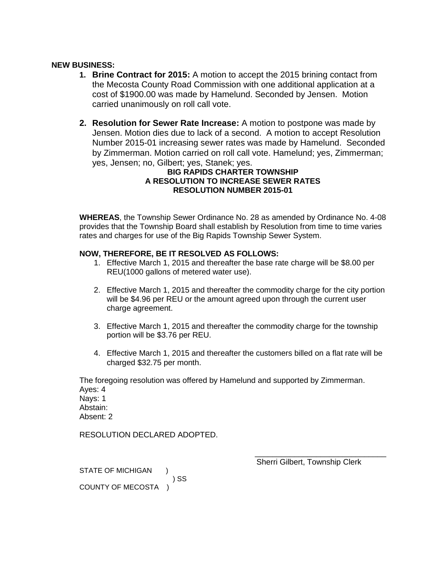#### **NEW BUSINESS:**

- **1. Brine Contract for 2015:** A motion to accept the 2015 brining contact from the Mecosta County Road Commission with one additional application at a cost of \$1900.00 was made by Hamelund. Seconded by Jensen. Motion carried unanimously on roll call vote.
- **2. Resolution for Sewer Rate Increase:** A motion to postpone was made by Jensen. Motion dies due to lack of a second. A motion to accept Resolution Number 2015-01 increasing sewer rates was made by Hamelund. Seconded by Zimmerman. Motion carried on roll call vote. Hamelund; yes, Zimmerman; yes, Jensen; no, Gilbert; yes, Stanek; yes.

### **BIG RAPIDS CHARTER TOWNSHIP A RESOLUTION TO INCREASE SEWER RATES RESOLUTION NUMBER 2015-01**

**WHEREAS**, the Township Sewer Ordinance No. 28 as amended by Ordinance No. 4-08 provides that the Township Board shall establish by Resolution from time to time varies rates and charges for use of the Big Rapids Township Sewer System.

#### **NOW, THEREFORE, BE IT RESOLVED AS FOLLOWS:**

- 1. Effective March 1, 2015 and thereafter the base rate charge will be \$8.00 per REU(1000 gallons of metered water use).
- 2. Effective March 1, 2015 and thereafter the commodity charge for the city portion will be \$4.96 per REU or the amount agreed upon through the current user charge agreement.
- 3. Effective March 1, 2015 and thereafter the commodity charge for the township portion will be \$3.76 per REU.
- 4. Effective March 1, 2015 and thereafter the customers billed on a flat rate will be charged \$32.75 per month.

The foregoing resolution was offered by Hamelund and supported by Zimmerman. Ayes: 4 Nays: 1 Abstain: Absent: 2

RESOLUTION DECLARED ADOPTED.

STATE OF MICHIGAN ) ) SS COUNTY OF MECOSTA )

Sherri Gilbert, Township Clerk

\_\_\_\_\_\_\_\_\_\_\_\_\_\_\_\_\_\_\_\_\_\_\_\_\_\_\_\_\_\_